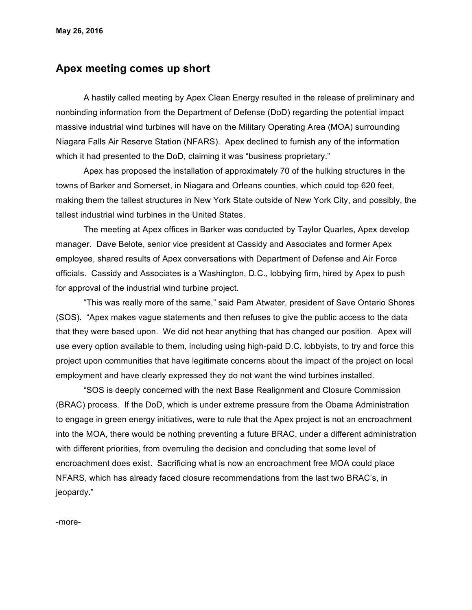## **Apex meeting comes up short**

A hastily called meeting by Apex Clean Energy resulted in the release of preliminary and nonbinding information from the Department of Defense (DoD) regarding the potential impact massive industrial wind turbines will have on the Military Operating Area (MOA) surrounding Niagara Falls Air Reserve Station (NFARS). Apex declined to furnish any of the information which it had presented to the DoD, claiming it was "business proprietary."

Apex has proposed the installation of approximately 70 of the hulking structures in the towns of Barker and Somerset, in Niagara and Orleans counties, which could top 620 feet, making them the tallest structures in New York State outside of New York City, and possibly, the tallest industrial wind turbines in the United States.

The meeting at Apex offices in Barker was conducted by Taylor Quarles, Apex develop manager. Dave Belote, senior vice president at Cassidy and Associates and former Apex employee, shared results of Apex conversations with Department of Defense and Air Force officials. Cassidy and Associates is a Washington, D.C., lobbying firm, hired by Apex to push for approval of the industrial wind turbine project.

"This was really more of the same," said Pam Atwater, president of Save Ontario Shores (SOS). "Apex makes vague statements and then refuses to give the public access to the data that they were based upon. We did not hear anything that has changed our position. Apex will use every option available to them, including using high-paid D.C. lobbyists, to try and force this project upon communities that have legitimate concerns about the impact of the project on local employment and have clearly expressed they do not want the wind turbines installed.

"SOS is deeply concerned with the next Base Realignment and Closure Commission (BRAC) process. If the DoD, which is under extreme pressure from the Obama Administration to engage in green energy initiatives, were to rule that the Apex project is not an encroachment into the MOA, there would be nothing preventing a future BRAC, under a different administration with different priorities, from overruling the decision and concluding that some level of encroachment does exist. Sacrificing what is now an encroachment free MOA could place NFARS, which has already faced closure recommendations from the last two BRAC's, in jeopardy."

-more-